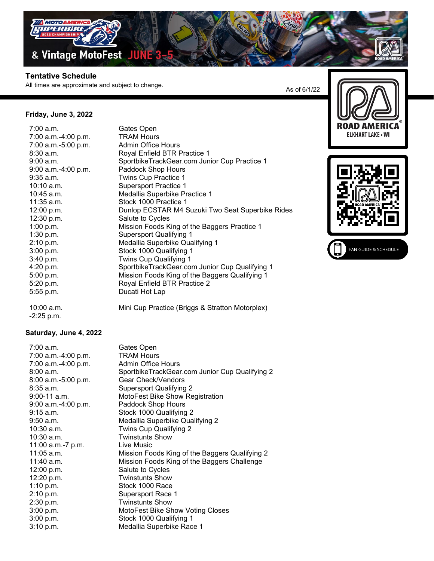

## **Tentative Schedule**

All times are approximate and subject to change.

Royal Enfield BTR Practice 1

Medallia Superbike Practice 1

Medallia Superbike Qualifying 1

Royal Enfield BTR Practice 2

Supersport Qualifying 1

Stock 1000 Qualifying 1 Twins Cup Qualifying 1

SportbikeTrackGear.com Junior Cup Practice 1

Mission Foods King of the Baggers Practice 1

SportbikeTrackGear.com Junior Cup Qualifying 1 Mission Foods King of the Baggers Qualifying 1

Mini Cup Practice (Briggs & Stratton Motorplex)

Dunlop ECSTAR M4 Suzuki Two Seat Superbike Rides

As of 6/1/22





| $7:00$ a.m.         | Gates Open                   |
|---------------------|------------------------------|
| 7:00 a.m.-4:00 p.m. | <b>TRAM Hours</b>            |
| 7:00 a.m.-5:00 p.m. | <b>Admin Office Hours</b>    |
| $8:30$ a.m.         | Royal Enfield BTR Pra        |
| 9:00 a.m.           | SportbikeTrackGear.c         |
| 9:00 a.m.-4:00 p.m. | Paddock Shop Hours           |
| $9:35$ a.m.         | Twins Cup Practice 1         |
| 10:10 a.m.          | <b>Supersport Practice 1</b> |
| 10:45 a.m.          | Medallia Superbike Pr        |
| 11:35 a.m.          | Stock 1000 Practice 1        |
| 12:00 p.m.          | Dunlop ECSTAR M4 \$          |
| 12:30 p.m.          | Salute to Cycles             |
| 1:00 p.m.           | Mission Foods King of        |
| 1:30 p.m.           | <b>Supersport Qualifying</b> |
| 2:10 p.m.           | Medallia Superbike Q         |
| 3:00 p.m.           | Stock 1000 Qualifying        |
| 3:40 p.m.           | <b>Twins Cup Qualifying</b>  |
| 4:20 p.m.           | SportbikeTrackGear.c         |
| 5:00 p.m.           | Mission Foods King of        |
| 5:20 p.m.           | Royal Enfield BTR Pra        |
| 5:55 p.m.           | Ducati Hot Lap               |
| 10:00 a.m.          | Mini Cup Practice (Bri       |

-2:25 p.m.

## **Saturday, June 4, 2022**

| 7:00 a.m.           | Gates Open                                     |
|---------------------|------------------------------------------------|
| 7:00 a.m.-4:00 p.m. | <b>TRAM Hours</b>                              |
| 7:00 a.m.-4:00 p.m. | <b>Admin Office Hours</b>                      |
| 8:00 a.m.           | SportbikeTrackGear.com Junior Cup Qualifying 2 |
| 8:00 a.m.-5:00 p.m. | Gear Check/Vendors                             |
| 8:35 a.m.           | <b>Supersport Qualifying 2</b>                 |
| 9:00-11 a.m.        | MotoFest Bike Show Registration                |
| 9:00 a.m.-4:00 p.m. | Paddock Shop Hours                             |
| 9:15 a.m.           | Stock 1000 Qualifying 2                        |
| 9:50 a.m.           | Medallia Superbike Qualifying 2                |
| 10:30 a.m.          | Twins Cup Qualifying 2                         |
| 10:30 a.m.          | <b>Twinstunts Show</b>                         |
| 11:00 a.m.-7 p.m.   | Live Music                                     |
| 11:05 a.m.          | Mission Foods King of the Baggers Qualifying 2 |
| 11:40 a.m.          | Mission Foods King of the Baggers Challenge    |
| 12:00 p.m.          | Salute to Cycles                               |
| 12:20 p.m.          | <b>Twinstunts Show</b>                         |
| 1:10 p.m.           | Stock 1000 Race                                |
| 2:10 p.m.           | Supersport Race 1                              |
| 2:30 p.m.           | <b>Twinstunts Show</b>                         |
| 3:00 p.m.           | MotoFest Bike Show Voting Closes               |
| 3:00 p.m.           | Stock 1000 Qualifying 1                        |
| $3:10$ p.m.         | Medallia Superbike Race 1                      |
|                     |                                                |